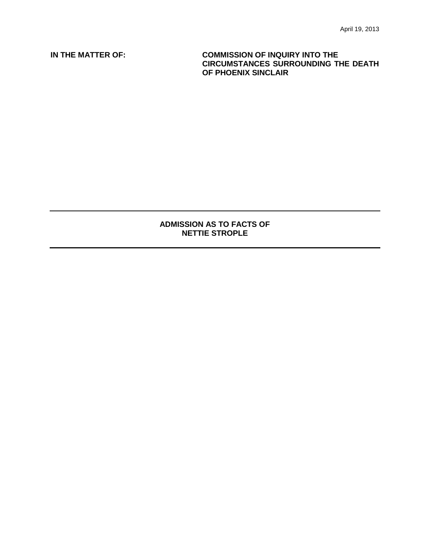**IN THE MATTER OF: COMMISSION OF INQUIRY INTO THE CIRCUMSTANCES SURROUNDING THE DEATH OF PHOENIX SINCLAIR**

## **ADMISSION AS TO FACTS OF NETTIE STROPLE**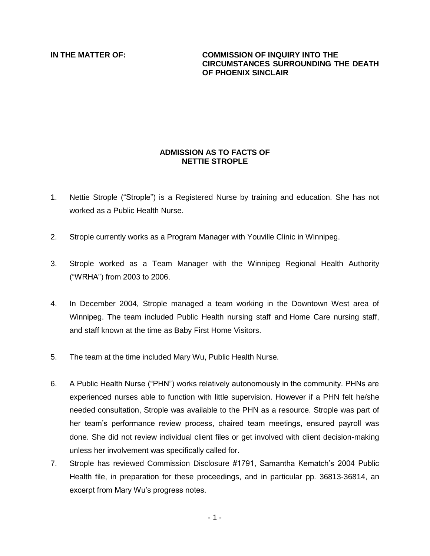## **IN THE MATTER OF: COMMISSION OF INQUIRY INTO THE CIRCUMSTANCES SURROUNDING THE DEATH OF PHOENIX SINCLAIR**

## **ADMISSION AS TO FACTS OF NETTIE STROPLE**

- 1. Nettie Strople ("Strople") is a Registered Nurse by training and education. She has not worked as a Public Health Nurse.
- 2. Strople currently works as a Program Manager with Youville Clinic in Winnipeg.
- 3. Strople worked as a Team Manager with the Winnipeg Regional Health Authority ("WRHA") from 2003 to 2006.
- 4. In December 2004, Strople managed a team working in the Downtown West area of Winnipeg. The team included Public Health nursing staff and Home Care nursing staff, and staff known at the time as Baby First Home Visitors.
- 5. The team at the time included Mary Wu, Public Health Nurse.
- 6. A Public Health Nurse ("PHN") works relatively autonomously in the community. PHNs are experienced nurses able to function with little supervision. However if a PHN felt he/she needed consultation, Strople was available to the PHN as a resource. Strople was part of her team's performance review process, chaired team meetings, ensured payroll was done. She did not review individual client files or get involved with client decision-making unless her involvement was specifically called for.
- 7. Strople has reviewed Commission Disclosure #1791, Samantha Kematch's 2004 Public Health file, in preparation for these proceedings, and in particular pp. 36813-36814, an excerpt from Mary Wu's progress notes.